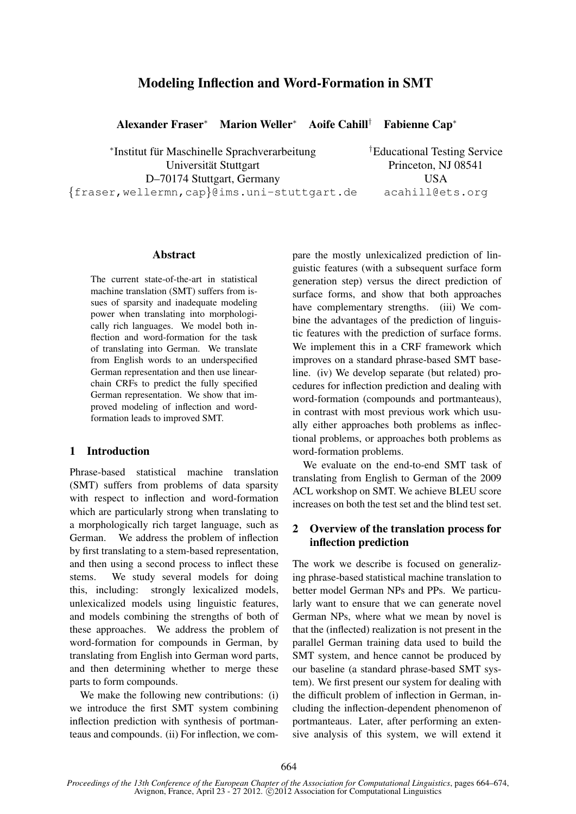# Modeling Inflection and Word-Formation in SMT

Alexander Fraser<sup>∗</sup> Marion Weller<sup>∗</sup> Aoife Cahill† Fabienne Cap<sup>∗</sup>

∗ Institut fur Maschinelle Sprachverarbeitung ¨ Universität Stuttgart Princeton, NJ 08541 D–70174 Stuttgart, Germany USA {fraser,wellermn,cap}@ims.uni-stuttgart.de acahill@ets.org

†Educational Testing Service

#### Abstract

The current state-of-the-art in statistical machine translation (SMT) suffers from issues of sparsity and inadequate modeling power when translating into morphologically rich languages. We model both inflection and word-formation for the task of translating into German. We translate from English words to an underspecified German representation and then use linearchain CRFs to predict the fully specified German representation. We show that improved modeling of inflection and wordformation leads to improved SMT.

## 1 Introduction

Phrase-based statistical machine translation (SMT) suffers from problems of data sparsity with respect to inflection and word-formation which are particularly strong when translating to a morphologically rich target language, such as German. We address the problem of inflection by first translating to a stem-based representation, and then using a second process to inflect these stems. We study several models for doing this, including: strongly lexicalized models, unlexicalized models using linguistic features, and models combining the strengths of both of these approaches. We address the problem of word-formation for compounds in German, by translating from English into German word parts, and then determining whether to merge these parts to form compounds.

We make the following new contributions: (i) we introduce the first SMT system combining inflection prediction with synthesis of portmanteaus and compounds. (ii) For inflection, we compare the mostly unlexicalized prediction of linguistic features (with a subsequent surface form generation step) versus the direct prediction of surface forms, and show that both approaches have complementary strengths. (iii) We combine the advantages of the prediction of linguistic features with the prediction of surface forms. We implement this in a CRF framework which improves on a standard phrase-based SMT baseline. (iv) We develop separate (but related) procedures for inflection prediction and dealing with word-formation (compounds and portmanteaus), in contrast with most previous work which usually either approaches both problems as inflectional problems, or approaches both problems as word-formation problems.

We evaluate on the end-to-end SMT task of translating from English to German of the 2009 ACL workshop on SMT. We achieve BLEU score increases on both the test set and the blind test set.

# 2 Overview of the translation process for inflection prediction

The work we describe is focused on generalizing phrase-based statistical machine translation to better model German NPs and PPs. We particularly want to ensure that we can generate novel German NPs, where what we mean by novel is that the (inflected) realization is not present in the parallel German training data used to build the SMT system, and hence cannot be produced by our baseline (a standard phrase-based SMT system). We first present our system for dealing with the difficult problem of inflection in German, including the inflection-dependent phenomenon of portmanteaus. Later, after performing an extensive analysis of this system, we will extend it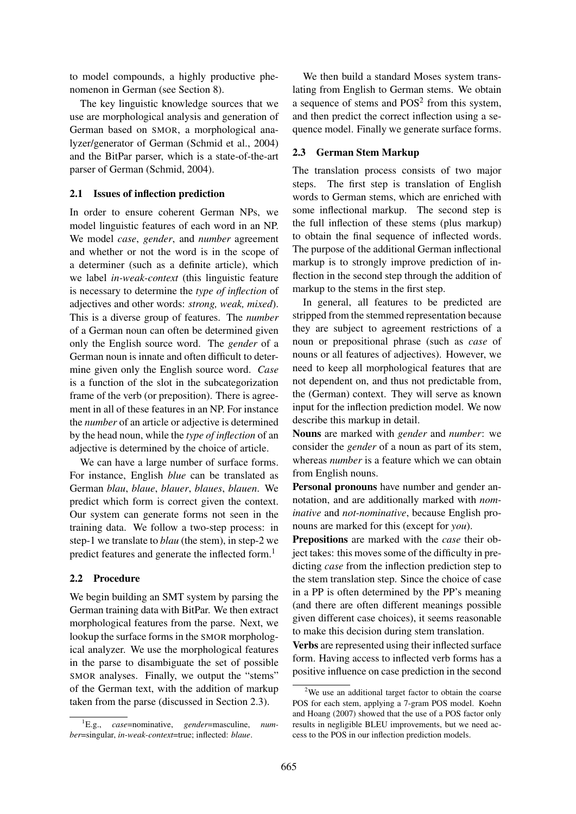to model compounds, a highly productive phenomenon in German (see Section 8).

The key linguistic knowledge sources that we use are morphological analysis and generation of German based on SMOR, a morphological analyzer/generator of German (Schmid et al., 2004) and the BitPar parser, which is a state-of-the-art parser of German (Schmid, 2004).

#### 2.1 Issues of inflection prediction

In order to ensure coherent German NPs, we model linguistic features of each word in an NP. We model *case*, *gender*, and *number* agreement and whether or not the word is in the scope of a determiner (such as a definite article), which we label *in-weak-context* (this linguistic feature is necessary to determine the *type of inflection* of adjectives and other words: *strong, weak, mixed*). This is a diverse group of features. The *number* of a German noun can often be determined given only the English source word. The *gender* of a German noun is innate and often difficult to determine given only the English source word. *Case* is a function of the slot in the subcategorization frame of the verb (or preposition). There is agreement in all of these features in an NP. For instance the *number* of an article or adjective is determined by the head noun, while the *type of inflection* of an adjective is determined by the choice of article.

We can have a large number of surface forms. For instance, English *blue* can be translated as German *blau*, *blaue*, *blauer*, *blaues*, *blauen*. We predict which form is correct given the context. Our system can generate forms not seen in the training data. We follow a two-step process: in step-1 we translate to *blau* (the stem), in step-2 we predict features and generate the inflected form.<sup>1</sup>

#### 2.2 Procedure

We begin building an SMT system by parsing the German training data with BitPar. We then extract morphological features from the parse. Next, we lookup the surface forms in the SMOR morphological analyzer. We use the morphological features in the parse to disambiguate the set of possible SMOR analyses. Finally, we output the "stems" of the German text, with the addition of markup taken from the parse (discussed in Section 2.3).

We then build a standard Moses system translating from English to German stems. We obtain a sequence of stems and  $POS<sup>2</sup>$  from this system, and then predict the correct inflection using a sequence model. Finally we generate surface forms.

## 2.3 German Stem Markup

The translation process consists of two major steps. The first step is translation of English words to German stems, which are enriched with some inflectional markup. The second step is the full inflection of these stems (plus markup) to obtain the final sequence of inflected words. The purpose of the additional German inflectional markup is to strongly improve prediction of inflection in the second step through the addition of markup to the stems in the first step.

In general, all features to be predicted are stripped from the stemmed representation because they are subject to agreement restrictions of a noun or prepositional phrase (such as *case* of nouns or all features of adjectives). However, we need to keep all morphological features that are not dependent on, and thus not predictable from, the (German) context. They will serve as known input for the inflection prediction model. We now describe this markup in detail.

Nouns are marked with *gender* and *number*: we consider the *gender* of a noun as part of its stem, whereas *number* is a feature which we can obtain from English nouns.

Personal pronouns have number and gender annotation, and are additionally marked with *nominative* and *not-nominative*, because English pronouns are marked for this (except for *you*).

Prepositions are marked with the *case* their object takes: this moves some of the difficulty in predicting *case* from the inflection prediction step to the stem translation step. Since the choice of case in a PP is often determined by the PP's meaning (and there are often different meanings possible given different case choices), it seems reasonable to make this decision during stem translation.

Verbs are represented using their inflected surface form. Having access to inflected verb forms has a positive influence on case prediction in the second

<sup>1</sup>E.g., *case*=nominative, *gender*=masculine, *number*=singular, *in-weak-context*=true; inflected: *blaue*.

 $2$ We use an additional target factor to obtain the coarse POS for each stem, applying a 7-gram POS model. Koehn and Hoang (2007) showed that the use of a POS factor only results in negligible BLEU improvements, but we need access to the POS in our inflection prediction models.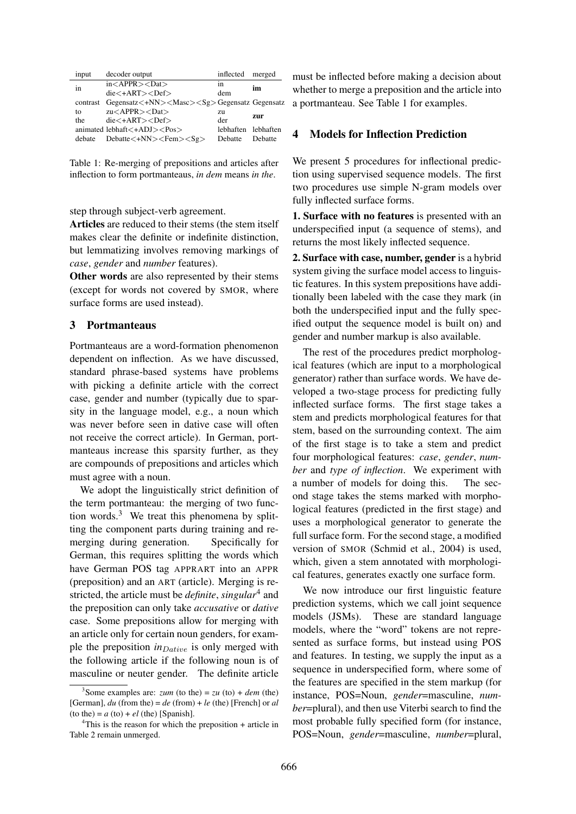|    | input    | decoder output                                              | inflected           | merged  |
|----|----------|-------------------------------------------------------------|---------------------|---------|
| in |          | $in <$ APPR $> <$ Dat $>$                                   | 1n                  | im      |
|    |          | $die<+ART><$ Def $>$                                        | dem                 |         |
|    | contrast | Gegensatz<+NN> <masc><sg>Gegensatz Gegensatz</sg></masc>    |                     |         |
|    | to       | $zu < APPR$ > < Dat >                                       | zu                  | zur     |
|    | the      | $die<+ART><$ Def $>$                                        | der                 |         |
|    |          | animated lebhaft $\langle +ADJ \rangle \langle Pos \rangle$ | lebhaften lebhaften |         |
|    | debate   | Debatte<+NN> <fem><sg></sg></fem>                           | Debatte             | Debatte |

Table 1: Re-merging of prepositions and articles after inflection to form portmanteaus, *in dem* means *in the*.

step through subject-verb agreement.

Articles are reduced to their stems (the stem itself makes clear the definite or indefinite distinction, but lemmatizing involves removing markings of *case*, *gender* and *number* features).

Other words are also represented by their stems (except for words not covered by SMOR, where surface forms are used instead).

## 3 Portmanteaus

Portmanteaus are a word-formation phenomenon dependent on inflection. As we have discussed, standard phrase-based systems have problems with picking a definite article with the correct case, gender and number (typically due to sparsity in the language model, e.g., a noun which was never before seen in dative case will often not receive the correct article). In German, portmanteaus increase this sparsity further, as they are compounds of prepositions and articles which must agree with a noun.

We adopt the linguistically strict definition of the term portmanteau: the merging of two function words. $3$  We treat this phenomena by splitting the component parts during training and remerging during generation. Specifically for German, this requires splitting the words which have German POS tag APPRART into an APPR (preposition) and an ART (article). Merging is restricted, the article must be *definite*, *singular*<sup>4</sup> and the preposition can only take *accusative* or *dative* case. Some prepositions allow for merging with an article only for certain noun genders, for example the preposition *in*<sub>Dative</sub> is only merged with the following article if the following noun is of masculine or neuter gender. The definite article

must be inflected before making a decision about whether to merge a preposition and the article into a portmanteau. See Table 1 for examples.

# 4 Models for Inflection Prediction

We present 5 procedures for inflectional prediction using supervised sequence models. The first two procedures use simple N-gram models over fully inflected surface forms.

1. Surface with no features is presented with an underspecified input (a sequence of stems), and returns the most likely inflected sequence.

2. Surface with case, number, gender is a hybrid system giving the surface model access to linguistic features. In this system prepositions have additionally been labeled with the case they mark (in both the underspecified input and the fully specified output the sequence model is built on) and gender and number markup is also available.

The rest of the procedures predict morphological features (which are input to a morphological generator) rather than surface words. We have developed a two-stage process for predicting fully inflected surface forms. The first stage takes a stem and predicts morphological features for that stem, based on the surrounding context. The aim of the first stage is to take a stem and predict four morphological features: *case*, *gender*, *number* and *type of inflection*. We experiment with a number of models for doing this. The second stage takes the stems marked with morphological features (predicted in the first stage) and uses a morphological generator to generate the full surface form. For the second stage, a modified version of SMOR (Schmid et al., 2004) is used, which, given a stem annotated with morphological features, generates exactly one surface form.

We now introduce our first linguistic feature prediction systems, which we call joint sequence models (JSMs). These are standard language models, where the "word" tokens are not represented as surface forms, but instead using POS and features. In testing, we supply the input as a sequence in underspecified form, where some of the features are specified in the stem markup (for instance, POS=Noun, *gender*=masculine, *number*=plural), and then use Viterbi search to find the most probable fully specified form (for instance, POS=Noun, *gender*=masculine, *number*=plural,

<sup>&</sup>lt;sup>3</sup> Some examples are: *zum* (to the) = *zu* (to) + *dem* (the) [German], *du* (from the) = *de* (from) + *le* (the) [French] or *al*  $($ to the $) = a$   $($ to $) + el$   $($ the $)$  [Spanish].

 $4$ This is the reason for which the preposition + article in Table 2 remain unmerged.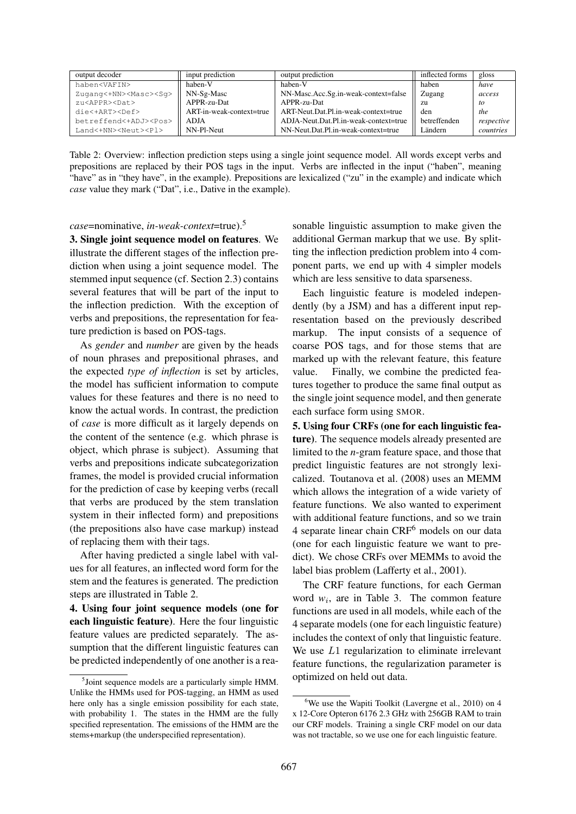| output decoder                     | input prediction         | output prediction                     | inflected forms | gloss      |
|------------------------------------|--------------------------|---------------------------------------|-----------------|------------|
| haben <vafin></vafin>              | haben-V                  | haben-V                               | haben           | have       |
| Zugang<+NN> <masc><sg></sg></masc> | NN-Sg-Masc               | NN-Masc.Acc.Sg.in-weak-context=false  | Zugang          | access     |
| zu <appr><dat></dat></appr>        | APPR-zu-Dat              | $APPR-zu-Dat$                         | zu              | tο         |
| die<+ART> <def></def>              | ART-in-weak-context=true | ART-Neut.Dat.Pl.in-weak-context=true  | den             | the        |
| betreffend<+ADJ> <pos></pos>       | ADIA                     | ADJA-Neut.Dat.Pl.in-weak-context=true | betreffenden    | respective |
| Land<+NN> <neut><pl></pl></neut>   | NN-Pl-Neut               | NN-Neut.Dat.Pl.in-weak-context=true   | Ländern         | countries  |

Table 2: Overview: inflection prediction steps using a single joint sequence model. All words except verbs and prepositions are replaced by their POS tags in the input. Verbs are inflected in the input ("haben", meaning "have" as in "they have", in the example). Prepositions are lexicalized ("zu" in the example) and indicate which *case* value they mark ("Dat", i.e., Dative in the example).

*case*=nominative, *in-weak-context*=true).<sup>5</sup>

3. Single joint sequence model on features. We illustrate the different stages of the inflection prediction when using a joint sequence model. The stemmed input sequence (cf. Section 2.3) contains several features that will be part of the input to the inflection prediction. With the exception of verbs and prepositions, the representation for feature prediction is based on POS-tags.

As *gender* and *number* are given by the heads of noun phrases and prepositional phrases, and the expected *type of inflection* is set by articles, the model has sufficient information to compute values for these features and there is no need to know the actual words. In contrast, the prediction of *case* is more difficult as it largely depends on the content of the sentence (e.g. which phrase is object, which phrase is subject). Assuming that verbs and prepositions indicate subcategorization frames, the model is provided crucial information for the prediction of case by keeping verbs (recall that verbs are produced by the stem translation system in their inflected form) and prepositions (the prepositions also have case markup) instead of replacing them with their tags.

After having predicted a single label with values for all features, an inflected word form for the stem and the features is generated. The prediction steps are illustrated in Table 2.

4. Using four joint sequence models (one for each linguistic feature). Here the four linguistic feature values are predicted separately. The assumption that the different linguistic features can be predicted independently of one another is a reasonable linguistic assumption to make given the additional German markup that we use. By splitting the inflection prediction problem into 4 component parts, we end up with 4 simpler models which are less sensitive to data sparseness.

Each linguistic feature is modeled independently (by a JSM) and has a different input representation based on the previously described markup. The input consists of a sequence of coarse POS tags, and for those stems that are marked up with the relevant feature, this feature value. Finally, we combine the predicted features together to produce the same final output as the single joint sequence model, and then generate each surface form using SMOR.

5. Using four CRFs (one for each linguistic feature). The sequence models already presented are limited to the *n*-gram feature space, and those that predict linguistic features are not strongly lexicalized. Toutanova et al. (2008) uses an MEMM which allows the integration of a wide variety of feature functions. We also wanted to experiment with additional feature functions, and so we train 4 separate linear chain CRF<sup>6</sup> models on our data (one for each linguistic feature we want to predict). We chose CRFs over MEMMs to avoid the label bias problem (Lafferty et al., 2001).

The CRF feature functions, for each German word  $w_i$ , are in Table 3. The common feature functions are used in all models, while each of the 4 separate models (one for each linguistic feature) includes the context of only that linguistic feature. We use L1 regularization to eliminate irrelevant feature functions, the regularization parameter is optimized on held out data.

<sup>&</sup>lt;sup>5</sup>Joint sequence models are a particularly simple HMM. Unlike the HMMs used for POS-tagging, an HMM as used here only has a single emission possibility for each state, with probability 1. The states in the HMM are the fully specified representation. The emissions of the HMM are the stems+markup (the underspecified representation).

 $6$ We use the Wapiti Toolkit (Lavergne et al., 2010) on 4 x 12-Core Opteron 6176 2.3 GHz with 256GB RAM to train our CRF models. Training a single CRF model on our data was not tractable, so we use one for each linguistic feature.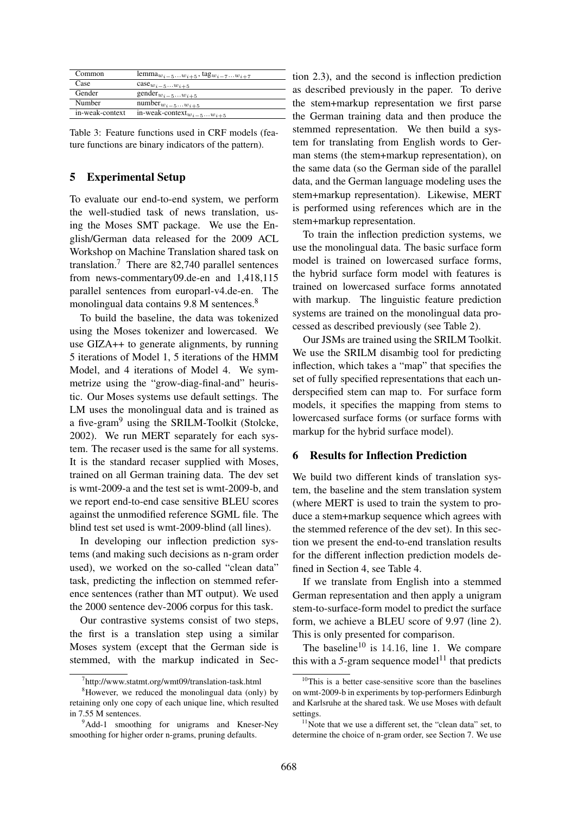| Common          | lemma <sub><math>w_{i-5}w_{i+5}</math></sub> , tag $w_{i-7}w_{i+7}$ |
|-----------------|---------------------------------------------------------------------|
| Case            | $\csc w_{i-5}w_{i+5}$                                               |
| Gender          | gender $w_{i-5}w_{i+5}$                                             |
| Number          | $number_{w_{i-5}\dots w_{i+5}}$                                     |
| in-weak-context | in-weak-context $w_{i-5}w_{i+5}$                                    |

Table 3: Feature functions used in CRF models (feature functions are binary indicators of the pattern).

# 5 Experimental Setup

To evaluate our end-to-end system, we perform the well-studied task of news translation, using the Moses SMT package. We use the English/German data released for the 2009 ACL Workshop on Machine Translation shared task on translation.<sup>7</sup> There are 82,740 parallel sentences from news-commentary09.de-en and 1,418,115 parallel sentences from europarl-v4.de-en. The monolingual data contains 9.8 M sentences.<sup>8</sup>

To build the baseline, the data was tokenized using the Moses tokenizer and lowercased. We use GIZA++ to generate alignments, by running 5 iterations of Model 1, 5 iterations of the HMM Model, and 4 iterations of Model 4. We symmetrize using the "grow-diag-final-and" heuristic. Our Moses systems use default settings. The LM uses the monolingual data and is trained as a five-gram<sup>9</sup> using the SRILM-Toolkit (Stolcke, 2002). We run MERT separately for each system. The recaser used is the same for all systems. It is the standard recaser supplied with Moses, trained on all German training data. The dev set is wmt-2009-a and the test set is wmt-2009-b, and we report end-to-end case sensitive BLEU scores against the unmodified reference SGML file. The blind test set used is wmt-2009-blind (all lines).

In developing our inflection prediction systems (and making such decisions as n-gram order used), we worked on the so-called "clean data" task, predicting the inflection on stemmed reference sentences (rather than MT output). We used the 2000 sentence dev-2006 corpus for this task.

Our contrastive systems consist of two steps, the first is a translation step using a similar Moses system (except that the German side is stemmed, with the markup indicated in Section 2.3), and the second is inflection prediction as described previously in the paper. To derive the stem+markup representation we first parse the German training data and then produce the stemmed representation. We then build a system for translating from English words to German stems (the stem+markup representation), on the same data (so the German side of the parallel data, and the German language modeling uses the stem+markup representation). Likewise, MERT is performed using references which are in the stem+markup representation.

To train the inflection prediction systems, we use the monolingual data. The basic surface form model is trained on lowercased surface forms, the hybrid surface form model with features is trained on lowercased surface forms annotated with markup. The linguistic feature prediction systems are trained on the monolingual data processed as described previously (see Table 2).

Our JSMs are trained using the SRILM Toolkit. We use the SRILM disambig tool for predicting inflection, which takes a "map" that specifies the set of fully specified representations that each underspecified stem can map to. For surface form models, it specifies the mapping from stems to lowercased surface forms (or surface forms with markup for the hybrid surface model).

#### 6 Results for Inflection Prediction

We build two different kinds of translation system, the baseline and the stem translation system (where MERT is used to train the system to produce a stem+markup sequence which agrees with the stemmed reference of the dev set). In this section we present the end-to-end translation results for the different inflection prediction models defined in Section 4, see Table 4.

If we translate from English into a stemmed German representation and then apply a unigram stem-to-surface-form model to predict the surface form, we achieve a BLEU score of 9.97 (line 2). This is only presented for comparison.

The baseline<sup>10</sup> is 14.16, line 1. We compare this with a  $5$ -gram sequence model<sup>11</sup> that predicts

<sup>7</sup> http://www.statmt.org/wmt09/translation-task.html

 ${}^{8}$ However, we reduced the monolingual data (only) by retaining only one copy of each unique line, which resulted in 7.55 M sentences.

<sup>&</sup>lt;sup>9</sup>Add-1 smoothing for unigrams and Kneser-Ney smoothing for higher order n-grams, pruning defaults.

<sup>&</sup>lt;sup>10</sup>This is a better case-sensitive score than the baselines on wmt-2009-b in experiments by top-performers Edinburgh and Karlsruhe at the shared task. We use Moses with default settings.

 $11$ Note that we use a different set, the "clean data" set, to determine the choice of n-gram order, see Section 7. We use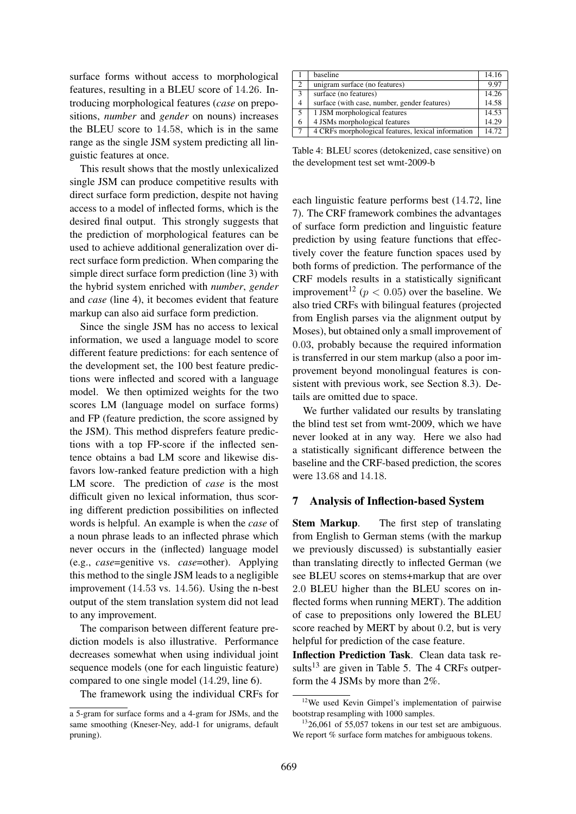surface forms without access to morphological features, resulting in a BLEU score of 14.26. Introducing morphological features (*case* on prepositions, *number* and *gender* on nouns) increases the BLEU score to 14.58, which is in the same range as the single JSM system predicting all linguistic features at once.

This result shows that the mostly unlexicalized single JSM can produce competitive results with direct surface form prediction, despite not having access to a model of inflected forms, which is the desired final output. This strongly suggests that the prediction of morphological features can be used to achieve additional generalization over direct surface form prediction. When comparing the simple direct surface form prediction (line 3) with the hybrid system enriched with *number*, *gender* and *case* (line 4), it becomes evident that feature markup can also aid surface form prediction.

Since the single JSM has no access to lexical information, we used a language model to score different feature predictions: for each sentence of the development set, the 100 best feature predictions were inflected and scored with a language model. We then optimized weights for the two scores LM (language model on surface forms) and FP (feature prediction, the score assigned by the JSM). This method disprefers feature predictions with a top FP-score if the inflected sentence obtains a bad LM score and likewise disfavors low-ranked feature prediction with a high LM score. The prediction of *case* is the most difficult given no lexical information, thus scoring different prediction possibilities on inflected words is helpful. An example is when the *case* of a noun phrase leads to an inflected phrase which never occurs in the (inflected) language model (e.g., *case*=genitive vs. *case*=other). Applying this method to the single JSM leads to a negligible improvement (14.53 vs. 14.56). Using the n-best output of the stem translation system did not lead to any improvement.

The comparison between different feature prediction models is also illustrative. Performance decreases somewhat when using individual joint sequence models (one for each linguistic feature) compared to one single model (14.29, line 6).

The framework using the individual CRFs for

|    | baseline                                           | 14.16 |
|----|----------------------------------------------------|-------|
| 2  | unigram surface (no features)                      | 9.97  |
| 3  | surface (no features)                              | 14.26 |
| 4  | surface (with case, number, gender features)       | 14.58 |
| 5. | 1 JSM morphological features                       | 14.53 |
| 6  | 4 JSMs morphological features                      | 14.29 |
| 7  | 4 CRFs morphological features, lexical information | 14.72 |

Table 4: BLEU scores (detokenized, case sensitive) on the development test set wmt-2009-b

each linguistic feature performs best (14.72, line 7). The CRF framework combines the advantages of surface form prediction and linguistic feature prediction by using feature functions that effectively cover the feature function spaces used by both forms of prediction. The performance of the CRF models results in a statistically significant improvement<sup>12</sup> ( $p < 0.05$ ) over the baseline. We also tried CRFs with bilingual features (projected from English parses via the alignment output by Moses), but obtained only a small improvement of 0.03, probably because the required information is transferred in our stem markup (also a poor improvement beyond monolingual features is consistent with previous work, see Section 8.3). Details are omitted due to space.

We further validated our results by translating the blind test set from wmt-2009, which we have never looked at in any way. Here we also had a statistically significant difference between the baseline and the CRF-based prediction, the scores were 13.68 and 14.18.

#### 7 Analysis of Inflection-based System

Stem Markup. The first step of translating from English to German stems (with the markup we previously discussed) is substantially easier than translating directly to inflected German (we see BLEU scores on stems+markup that are over 2.0 BLEU higher than the BLEU scores on inflected forms when running MERT). The addition of case to prepositions only lowered the BLEU score reached by MERT by about 0.2, but is very helpful for prediction of the case feature.

Inflection Prediction Task. Clean data task results $^{13}$  are given in Table 5. The 4 CRFs outperform the 4 JSMs by more than 2%.

a 5-gram for surface forms and a 4-gram for JSMs, and the same smoothing (Kneser-Ney, add-1 for unigrams, default pruning).

<sup>&</sup>lt;sup>12</sup>We used Kevin Gimpel's implementation of pairwise bootstrap resampling with 1000 samples.

 $1326,061$  of 55,057 tokens in our test set are ambiguous. We report % surface form matches for ambiguous tokens.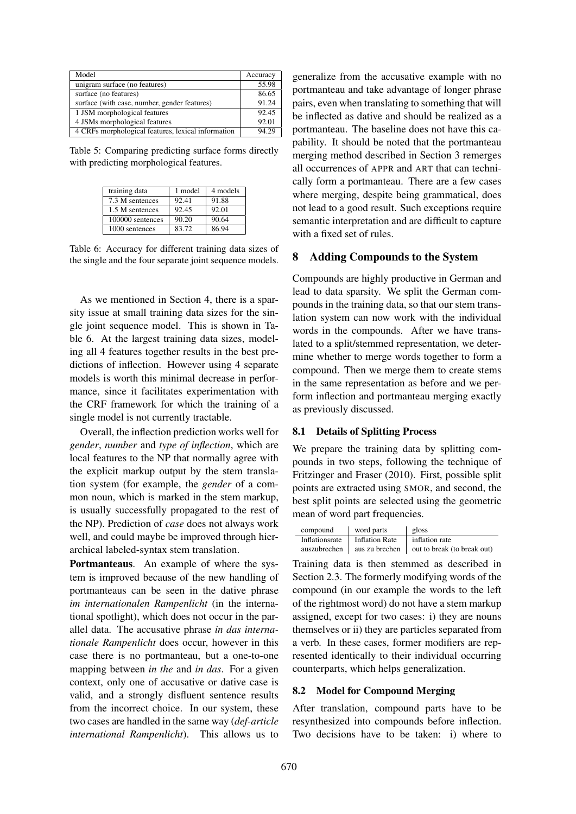| Model                                              | Accuracy |
|----------------------------------------------------|----------|
| unigram surface (no features)                      | 55.98    |
| surface (no features)                              | 86.65    |
| surface (with case, number, gender features)       | 91.24    |
| 1 JSM morphological features                       | 92.45    |
| 4 JSMs morphological features                      | 92.01    |
| 4 CRFs morphological features, lexical information | 94.29    |

Table 5: Comparing predicting surface forms directly with predicting morphological features.

| training data    | 1 model | 4 models |
|------------------|---------|----------|
| 7.3 M sentences  | 92.41   | 91.88    |
| 1.5 M sentences  | 92.45   | 92.01    |
| 100000 sentences | 90.20   | 90.64    |
| 1000 sentences   | 83.72   | 86.94    |

Table 6: Accuracy for different training data sizes of the single and the four separate joint sequence models.

As we mentioned in Section 4, there is a sparsity issue at small training data sizes for the single joint sequence model. This is shown in Table 6. At the largest training data sizes, modeling all 4 features together results in the best predictions of inflection. However using 4 separate models is worth this minimal decrease in performance, since it facilitates experimentation with the CRF framework for which the training of a single model is not currently tractable.

Overall, the inflection prediction works well for *gender*, *number* and *type of inflection*, which are local features to the NP that normally agree with the explicit markup output by the stem translation system (for example, the *gender* of a common noun, which is marked in the stem markup, is usually successfully propagated to the rest of the NP). Prediction of *case* does not always work well, and could maybe be improved through hierarchical labeled-syntax stem translation.

Portmanteaus. An example of where the system is improved because of the new handling of portmanteaus can be seen in the dative phrase *im internationalen Rampenlicht* (in the international spotlight), which does not occur in the parallel data. The accusative phrase *in das internationale Rampenlicht* does occur, however in this case there is no portmanteau, but a one-to-one mapping between *in the* and *in das*. For a given context, only one of accusative or dative case is valid, and a strongly disfluent sentence results from the incorrect choice. In our system, these two cases are handled in the same way (*def-article international Rampenlicht*). This allows us to

generalize from the accusative example with no portmanteau and take advantage of longer phrase pairs, even when translating to something that will be inflected as dative and should be realized as a portmanteau. The baseline does not have this capability. It should be noted that the portmanteau merging method described in Section 3 remerges all occurrences of APPR and ART that can technically form a portmanteau. There are a few cases where merging, despite being grammatical, does not lead to a good result. Such exceptions require semantic interpretation and are difficult to capture with a fixed set of rules.

## 8 Adding Compounds to the System

Compounds are highly productive in German and lead to data sparsity. We split the German compounds in the training data, so that our stem translation system can now work with the individual words in the compounds. After we have translated to a split/stemmed representation, we determine whether to merge words together to form a compound. Then we merge them to create stems in the same representation as before and we perform inflection and portmanteau merging exactly as previously discussed.

## 8.1 Details of Splitting Process

We prepare the training data by splitting compounds in two steps, following the technique of Fritzinger and Fraser (2010). First, possible split points are extracted using SMOR, and second, the best split points are selected using the geometric mean of word part frequencies.

| compound       | word parts            | gloss                       |
|----------------|-----------------------|-----------------------------|
| Inflationsrate | <b>Inflation Rate</b> | inflation rate              |
| auszubrechen   | aus zu brechen        | out to break (to break out) |

Training data is then stemmed as described in Section 2.3. The formerly modifying words of the compound (in our example the words to the left of the rightmost word) do not have a stem markup assigned, except for two cases: i) they are nouns themselves or ii) they are particles separated from a verb. In these cases, former modifiers are represented identically to their individual occurring counterparts, which helps generalization.

#### 8.2 Model for Compound Merging

After translation, compound parts have to be resynthesized into compounds before inflection. Two decisions have to be taken: i) where to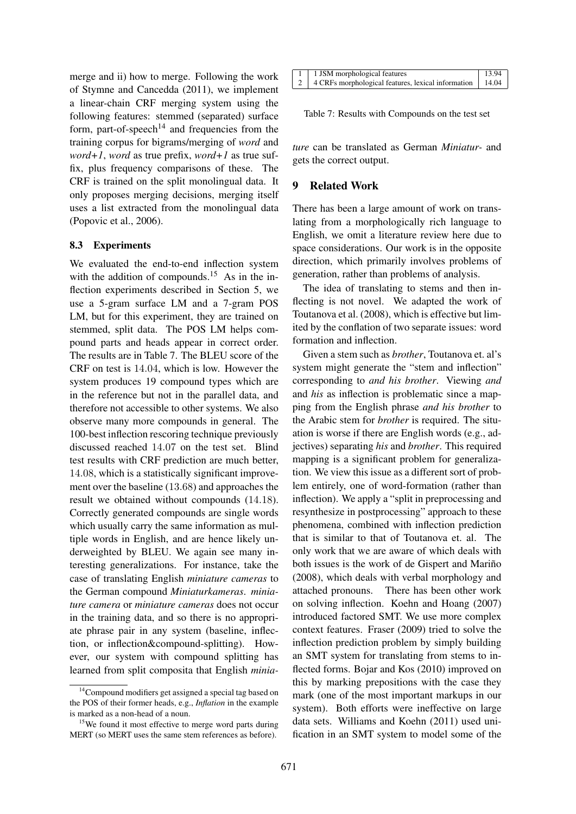merge and ii) how to merge. Following the work of Stymne and Cancedda (2011), we implement a linear-chain CRF merging system using the following features: stemmed (separated) surface form, part-of-speech<sup>14</sup> and frequencies from the training corpus for bigrams/merging of *word* and *word+1*, *word* as true prefix, *word+1* as true suffix, plus frequency comparisons of these. The CRF is trained on the split monolingual data. It only proposes merging decisions, merging itself uses a list extracted from the monolingual data (Popovic et al., 2006).

## 8.3 Experiments

We evaluated the end-to-end inflection system with the addition of compounds.<sup>15</sup> As in the inflection experiments described in Section 5, we use a 5-gram surface LM and a 7-gram POS LM, but for this experiment, they are trained on stemmed, split data. The POS LM helps compound parts and heads appear in correct order. The results are in Table 7. The BLEU score of the CRF on test is 14.04, which is low. However the system produces 19 compound types which are in the reference but not in the parallel data, and therefore not accessible to other systems. We also observe many more compounds in general. The 100-best inflection rescoring technique previously discussed reached 14.07 on the test set. Blind test results with CRF prediction are much better, 14.08, which is a statistically significant improvement over the baseline (13.68) and approaches the result we obtained without compounds (14.18). Correctly generated compounds are single words which usually carry the same information as multiple words in English, and are hence likely underweighted by BLEU. We again see many interesting generalizations. For instance, take the case of translating English *miniature cameras* to the German compound *Miniaturkameras*. *miniature camera* or *miniature cameras* does not occur in the training data, and so there is no appropriate phrase pair in any system (baseline, inflection, or inflection&compound-splitting). However, our system with compound splitting has learned from split composita that English *minia-*

| 1   1 JSM morphological features                               | 13.94 |
|----------------------------------------------------------------|-------|
| 2   4 CRFs morphological features, lexical information   14.04 |       |

Table 7: Results with Compounds on the test set

*ture* can be translated as German *Miniatur-* and gets the correct output.

# 9 Related Work

There has been a large amount of work on translating from a morphologically rich language to English, we omit a literature review here due to space considerations. Our work is in the opposite direction, which primarily involves problems of generation, rather than problems of analysis.

The idea of translating to stems and then inflecting is not novel. We adapted the work of Toutanova et al. (2008), which is effective but limited by the conflation of two separate issues: word formation and inflection.

Given a stem such as *brother*, Toutanova et. al's system might generate the "stem and inflection" corresponding to *and his brother*. Viewing *and* and *his* as inflection is problematic since a mapping from the English phrase *and his brother* to the Arabic stem for *brother* is required. The situation is worse if there are English words (e.g., adjectives) separating *his* and *brother*. This required mapping is a significant problem for generalization. We view this issue as a different sort of problem entirely, one of word-formation (rather than inflection). We apply a "split in preprocessing and resynthesize in postprocessing" approach to these phenomena, combined with inflection prediction that is similar to that of Toutanova et. al. The only work that we are aware of which deals with both issues is the work of de Gispert and Mariño (2008), which deals with verbal morphology and attached pronouns. There has been other work on solving inflection. Koehn and Hoang (2007) introduced factored SMT. We use more complex context features. Fraser (2009) tried to solve the inflection prediction problem by simply building an SMT system for translating from stems to inflected forms. Bojar and Kos (2010) improved on this by marking prepositions with the case they mark (one of the most important markups in our system). Both efforts were ineffective on large data sets. Williams and Koehn (2011) used unification in an SMT system to model some of the

<sup>&</sup>lt;sup>14</sup>Compound modifiers get assigned a special tag based on the POS of their former heads, e.g., *Inflation* in the example is marked as a non-head of a noun.

<sup>&</sup>lt;sup>15</sup>We found it most effective to merge word parts during MERT (so MERT uses the same stem references as before).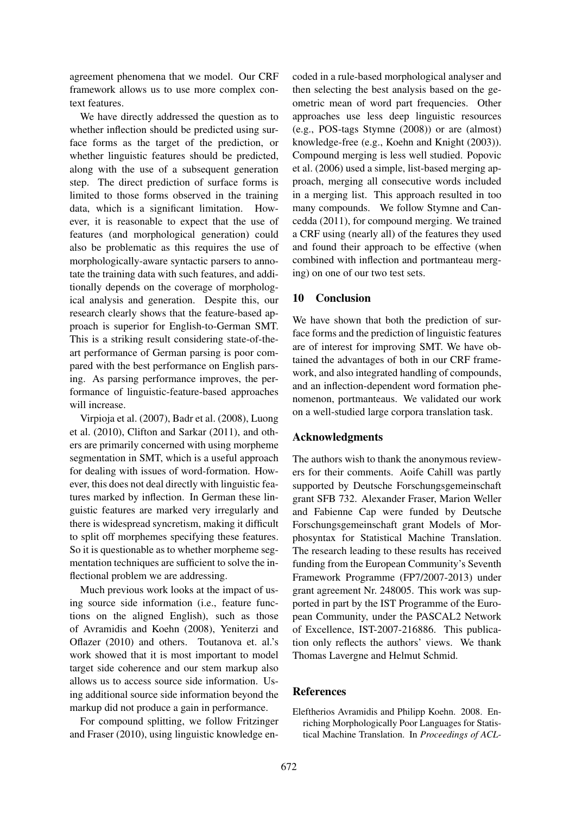agreement phenomena that we model. Our CRF framework allows us to use more complex context features.

We have directly addressed the question as to whether inflection should be predicted using surface forms as the target of the prediction, or whether linguistic features should be predicted, along with the use of a subsequent generation step. The direct prediction of surface forms is limited to those forms observed in the training data, which is a significant limitation. However, it is reasonable to expect that the use of features (and morphological generation) could also be problematic as this requires the use of morphologically-aware syntactic parsers to annotate the training data with such features, and additionally depends on the coverage of morphological analysis and generation. Despite this, our research clearly shows that the feature-based approach is superior for English-to-German SMT. This is a striking result considering state-of-theart performance of German parsing is poor compared with the best performance on English parsing. As parsing performance improves, the performance of linguistic-feature-based approaches will increase.

Virpioja et al. (2007), Badr et al. (2008), Luong et al. (2010), Clifton and Sarkar (2011), and others are primarily concerned with using morpheme segmentation in SMT, which is a useful approach for dealing with issues of word-formation. However, this does not deal directly with linguistic features marked by inflection. In German these linguistic features are marked very irregularly and there is widespread syncretism, making it difficult to split off morphemes specifying these features. So it is questionable as to whether morpheme segmentation techniques are sufficient to solve the inflectional problem we are addressing.

Much previous work looks at the impact of using source side information (i.e., feature functions on the aligned English), such as those of Avramidis and Koehn (2008), Yeniterzi and Oflazer (2010) and others. Toutanova et. al.'s work showed that it is most important to model target side coherence and our stem markup also allows us to access source side information. Using additional source side information beyond the markup did not produce a gain in performance.

For compound splitting, we follow Fritzinger and Fraser (2010), using linguistic knowledge encoded in a rule-based morphological analyser and then selecting the best analysis based on the geometric mean of word part frequencies. Other approaches use less deep linguistic resources (e.g., POS-tags Stymne (2008)) or are (almost) knowledge-free (e.g., Koehn and Knight (2003)). Compound merging is less well studied. Popovic et al. (2006) used a simple, list-based merging approach, merging all consecutive words included in a merging list. This approach resulted in too many compounds. We follow Stymne and Cancedda (2011), for compound merging. We trained a CRF using (nearly all) of the features they used and found their approach to be effective (when combined with inflection and portmanteau merging) on one of our two test sets.

# 10 Conclusion

We have shown that both the prediction of surface forms and the prediction of linguistic features are of interest for improving SMT. We have obtained the advantages of both in our CRF framework, and also integrated handling of compounds, and an inflection-dependent word formation phenomenon, portmanteaus. We validated our work on a well-studied large corpora translation task.

## Acknowledgments

The authors wish to thank the anonymous reviewers for their comments. Aoife Cahill was partly supported by Deutsche Forschungsgemeinschaft grant SFB 732. Alexander Fraser, Marion Weller and Fabienne Cap were funded by Deutsche Forschungsgemeinschaft grant Models of Morphosyntax for Statistical Machine Translation. The research leading to these results has received funding from the European Community's Seventh Framework Programme (FP7/2007-2013) under grant agreement Nr. 248005. This work was supported in part by the IST Programme of the European Community, under the PASCAL2 Network of Excellence, IST-2007-216886. This publication only reflects the authors' views. We thank Thomas Lavergne and Helmut Schmid.

## **References**

Eleftherios Avramidis and Philipp Koehn. 2008. Enriching Morphologically Poor Languages for Statistical Machine Translation. In *Proceedings of ACL-*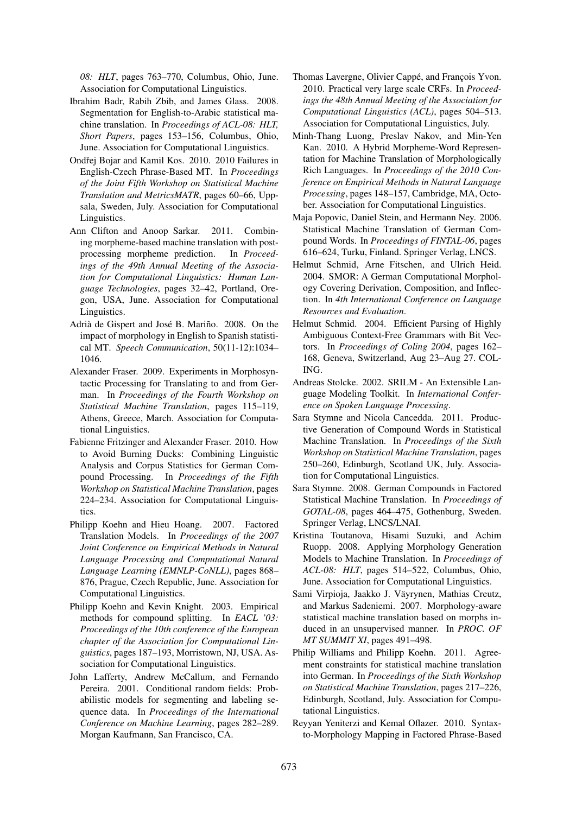*08: HLT*, pages 763–770, Columbus, Ohio, June. Association for Computational Linguistics.

- Ibrahim Badr, Rabih Zbib, and James Glass. 2008. Segmentation for English-to-Arabic statistical machine translation. In *Proceedings of ACL-08: HLT, Short Papers*, pages 153–156, Columbus, Ohio, June. Association for Computational Linguistics.
- Ondřej Bojar and Kamil Kos. 2010. 2010 Failures in English-Czech Phrase-Based MT. In *Proceedings of the Joint Fifth Workshop on Statistical Machine Translation and MetricsMATR*, pages 60–66, Uppsala, Sweden, July. Association for Computational Linguistics.
- Ann Clifton and Anoop Sarkar. 2011. Combining morpheme-based machine translation with postprocessing morpheme prediction. In *Proceedings of the 49th Annual Meeting of the Association for Computational Linguistics: Human Language Technologies*, pages 32–42, Portland, Oregon, USA, June. Association for Computational Linguistics.
- Adrià de Gispert and José B. Mariño. 2008. On the impact of morphology in English to Spanish statistical MT. *Speech Communication*, 50(11-12):1034– 1046.
- Alexander Fraser. 2009. Experiments in Morphosyntactic Processing for Translating to and from German. In *Proceedings of the Fourth Workshop on Statistical Machine Translation*, pages 115–119, Athens, Greece, March. Association for Computational Linguistics.
- Fabienne Fritzinger and Alexander Fraser. 2010. How to Avoid Burning Ducks: Combining Linguistic Analysis and Corpus Statistics for German Compound Processing. In *Proceedings of the Fifth Workshop on Statistical Machine Translation*, pages 224–234. Association for Computational Linguistics.
- Philipp Koehn and Hieu Hoang. 2007. Factored Translation Models. In *Proceedings of the 2007 Joint Conference on Empirical Methods in Natural Language Processing and Computational Natural Language Learning (EMNLP-CoNLL)*, pages 868– 876, Prague, Czech Republic, June. Association for Computational Linguistics.
- Philipp Koehn and Kevin Knight. 2003. Empirical methods for compound splitting. In *EACL '03: Proceedings of the 10th conference of the European chapter of the Association for Computational Linguistics*, pages 187–193, Morristown, NJ, USA. Association for Computational Linguistics.
- John Lafferty, Andrew McCallum, and Fernando Pereira. 2001. Conditional random fields: Probabilistic models for segmenting and labeling sequence data. In *Proceedings of the International Conference on Machine Learning*, pages 282–289. Morgan Kaufmann, San Francisco, CA.
- Thomas Lavergne, Olivier Cappé, and François Yvon. 2010. Practical very large scale CRFs. In *Proceedings the 48th Annual Meeting of the Association for Computational Linguistics (ACL)*, pages 504–513. Association for Computational Linguistics, July.
- Minh-Thang Luong, Preslav Nakov, and Min-Yen Kan. 2010. A Hybrid Morpheme-Word Representation for Machine Translation of Morphologically Rich Languages. In *Proceedings of the 2010 Conference on Empirical Methods in Natural Language Processing*, pages 148–157, Cambridge, MA, October. Association for Computational Linguistics.
- Maja Popovic, Daniel Stein, and Hermann Ney. 2006. Statistical Machine Translation of German Compound Words. In *Proceedings of FINTAL-06*, pages 616–624, Turku, Finland. Springer Verlag, LNCS.
- Helmut Schmid, Arne Fitschen, and Ulrich Heid. 2004. SMOR: A German Computational Morphology Covering Derivation, Composition, and Inflection. In *4th International Conference on Language Resources and Evaluation*.
- Helmut Schmid. 2004. Efficient Parsing of Highly Ambiguous Context-Free Grammars with Bit Vectors. In *Proceedings of Coling 2004*, pages 162– 168, Geneva, Switzerland, Aug 23–Aug 27. COL-ING.
- Andreas Stolcke. 2002. SRILM An Extensible Language Modeling Toolkit. In *International Conference on Spoken Language Processing*.
- Sara Stymne and Nicola Cancedda. 2011. Productive Generation of Compound Words in Statistical Machine Translation. In *Proceedings of the Sixth Workshop on Statistical Machine Translation*, pages 250–260, Edinburgh, Scotland UK, July. Association for Computational Linguistics.
- Sara Stymne. 2008. German Compounds in Factored Statistical Machine Translation. In *Proceedings of GOTAL-08*, pages 464–475, Gothenburg, Sweden. Springer Verlag, LNCS/LNAI.
- Kristina Toutanova, Hisami Suzuki, and Achim Ruopp. 2008. Applying Morphology Generation Models to Machine Translation. In *Proceedings of ACL-08: HLT*, pages 514–522, Columbus, Ohio, June. Association for Computational Linguistics.
- Sami Virpioja, Jaakko J. Väyrynen, Mathias Creutz, and Markus Sadeniemi. 2007. Morphology-aware statistical machine translation based on morphs induced in an unsupervised manner. In *PROC. OF MT SUMMIT XI*, pages 491–498.
- Philip Williams and Philipp Koehn. 2011. Agreement constraints for statistical machine translation into German. In *Proceedings of the Sixth Workshop on Statistical Machine Translation*, pages 217–226, Edinburgh, Scotland, July. Association for Computational Linguistics.
- Reyyan Yeniterzi and Kemal Oflazer. 2010. Syntaxto-Morphology Mapping in Factored Phrase-Based